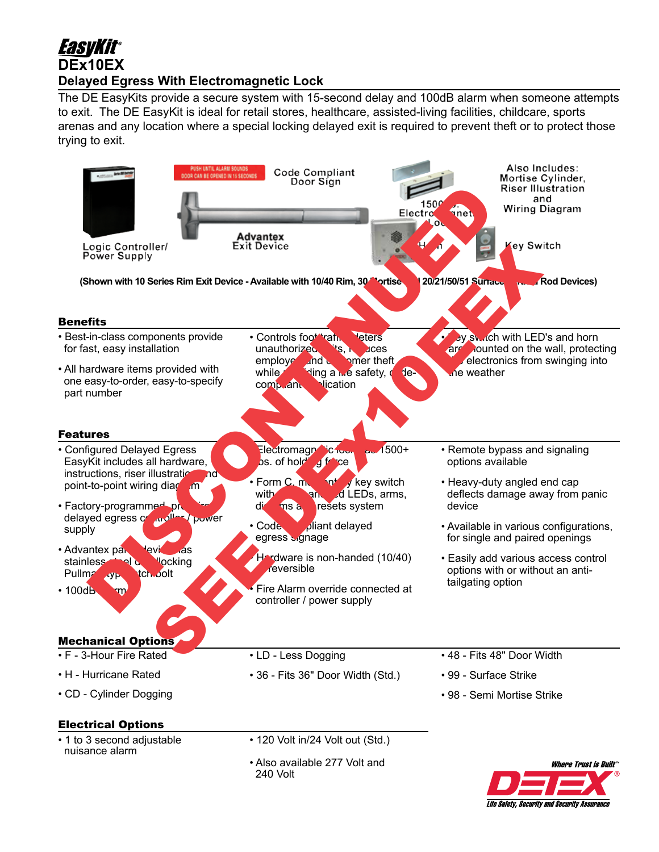# EasvKit® **DEx10EX Delayed Egress With Electromagnetic Lock**

The DE EasyKits provide a secure system with 15-second delay and 100dB alarm when someone attempts to exit. The DE EasyKit is ideal for retail stores, healthcare, assisted-living facilities, childcare, sports arenas and any location where a special locking delayed exit is required to prevent theft or to protect those trying to exit.



**Life Safety, Security and Security Assurance**